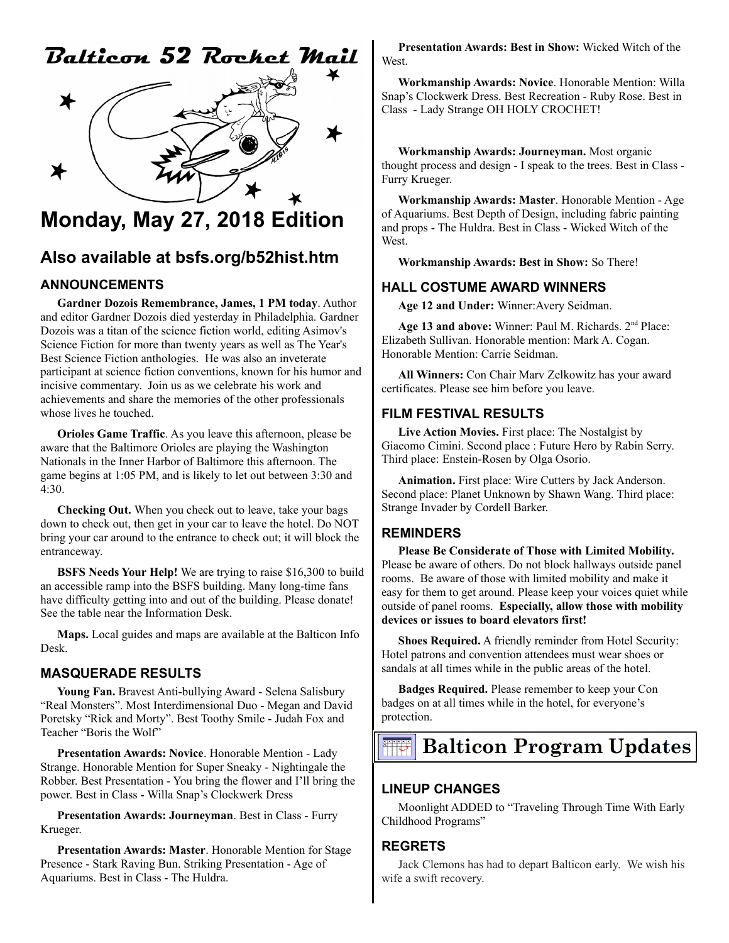# Balticon 52 Rocket Mail



## **Monday, May 27, 2018 Edition**

### **Also available at bsfs.org/b52hist.htm**

### **ANNOUNCEMENTS**

**Gardner Dozois Remembrance, James, 1 PM today**. Author and editor Gardner Dozois died yesterday in Philadelphia. Gardner Dozois was a titan of the science fiction world, editing Asimov's Science Fiction for more than twenty years as well as The Year's Best Science Fiction anthologies. He was also an inveterate participant at science fiction conventions, known for his humor and incisive commentary. Join us as we celebrate his work and achievements and share the memories of the other professionals whose lives he touched.

**Orioles Game Traffic**. As you leave this afternoon, please be aware that the Baltimore Orioles are playing the Washington Nationals in the Inner Harbor of Baltimore this afternoon. The game begins at 1:05 PM, and is likely to let out between 3:30 and 4:30.

**Checking Out.** When you check out to leave, take your bags down to check out, then get in your car to leave the hotel. Do NOT bring your car around to the entrance to check out; it will block the entranceway.

**BSFS Needs Your Help!** We are trying to raise \$16,300 to build an accessible ramp into the BSFS building. Many long-time fans have difficulty getting into and out of the building. Please donate! See the table near the Information Desk.

**Maps.** Local guides and maps are available at the Balticon Info Desk.

#### **MASQUERADE RESULTS**

**Young Fan.** Bravest Anti-bullying Award - Selena Salisbury "Real Monsters". Most Interdimensional Duo - Megan and David Poretsky "Rick and Morty". Best Toothy Smile - Judah Fox and Teacher "Boris the Wolf"

**Presentation Awards: Novice**. Honorable Mention - Lady Strange. Honorable Mention for Super Sneaky - Nightingale the Robber. Best Presentation - You bring the flower and I'll bring the power. Best in Class - Willa Snap's Clockwerk Dress

**Presentation Awards: Journeyman**. Best in Class - Furry Krueger.

**Presentation Awards: Master**. Honorable Mention for Stage Presence - Stark Raving Bun. Striking Presentation - Age of Aquariums. Best in Class - The Huldra.

**Presentation Awards: Best in Show:** Wicked Witch of the West.

**Workmanship Awards: Novice**. Honorable Mention: Willa Snap's Clockwerk Dress. Best Recreation - Ruby Rose. Best in Class - Lady Strange OH HOLY CROCHET!

**Workmanship Awards: Journeyman.** Most organic thought process and design - I speak to the trees. Best in Class - Furry Krueger.

**Workmanship Awards: Master**. Honorable Mention - Age of Aquariums. Best Depth of Design, including fabric painting and props - The Huldra. Best in Class - Wicked Witch of the West.

**Workmanship Awards: Best in Show:** So There!

### **HALL COSTUME AWARD WINNERS**

**Age 12 and Under:** Winner:Avery Seidman.

Age 13 and above: Winner: Paul M. Richards. 2<sup>nd</sup> Place: Elizabeth Sullivan. Honorable mention: Mark A. Cogan. Honorable Mention: Carrie Seidman.

**All Winners:** Con Chair Marv Zelkowitz has your award certificates. Please see him before you leave.

### **FILM FESTIVAL RESULTS**

**Live Action Movies.** First place: The Nostalgist by Giacomo Cimini. Second place : Future Hero by Rabin Serry. Third place: Enstein-Rosen by Olga Osorio.

**Animation.** First place: Wire Cutters by Jack Anderson. Second place: Planet Unknown by Shawn Wang. Third place: Strange Invader by Cordell Barker.

### **REMINDERS**

**Please Be Considerate of Those with Limited Mobility.** Please be aware of others. Do not block hallways outside panel rooms. Be aware of those with limited mobility and make it easy for them to get around. Please keep your voices quiet while outside of panel rooms. **Especially, allow those with mobility devices or issues to board elevators first!**

**Shoes Required.** A friendly reminder from Hotel Security: Hotel patrons and convention attendees must wear shoes or sandals at all times while in the public areas of the hotel.

**Badges Required.** Please remember to keep your Con badges on at all times while in the hotel, for everyone's protection.

## **Balticon Program Updates**

### **LINEUP CHANGES**

Moonlight ADDED to "Traveling Through Time With Early Childhood Programs"

#### **REGRETS**

Jack Clemons has had to depart Balticon early. We wish his wife a swift recovery.